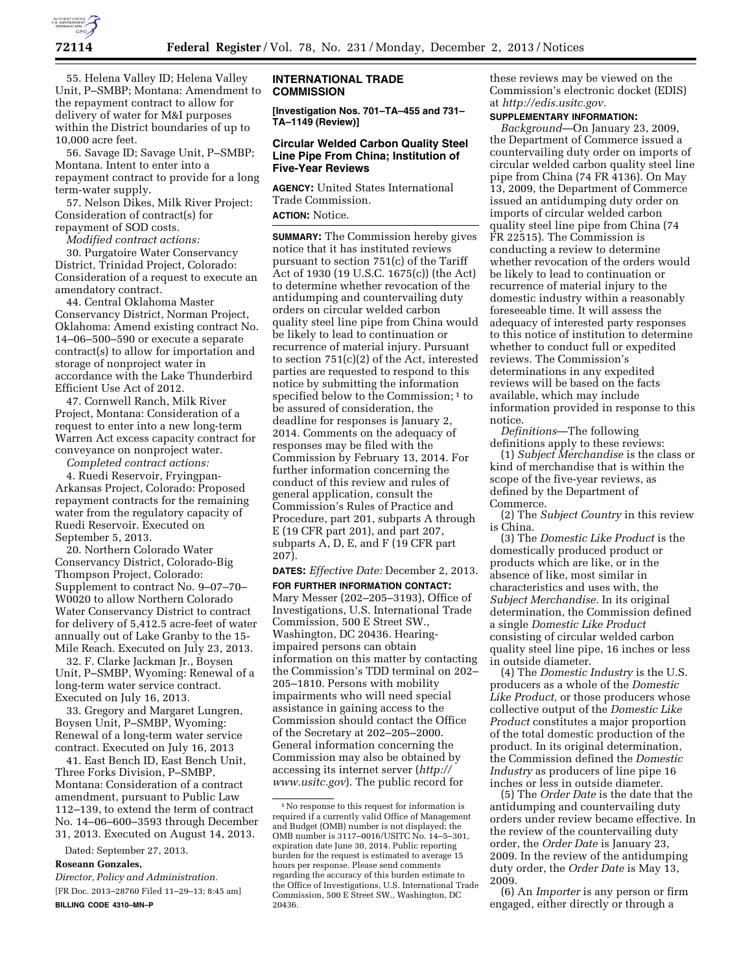

55. Helena Valley ID; Helena Valley Unit, P–SMBP; Montana: Amendment to the repayment contract to allow for delivery of water for M&I purposes within the District boundaries of up to 10,000 acre feet.

56. Savage ID; Savage Unit, P–SMBP; Montana. Intent to enter into a repayment contract to provide for a long term-water supply.

57. Nelson Dikes, Milk River Project: Consideration of contract(s) for repayment of SOD costs.

*Modified contract actions:* 

30. Purgatoire Water Conservancy District, Trinidad Project, Colorado: Consideration of a request to execute an amendatory contract.

44. Central Oklahoma Master Conservancy District, Norman Project, Oklahoma: Amend existing contract No. 14–06–500–590 or execute a separate contract(s) to allow for importation and storage of nonproject water in accordance with the Lake Thunderbird Efficient Use Act of 2012.

47. Cornwell Ranch, Milk River Project, Montana: Consideration of a request to enter into a new long-term Warren Act excess capacity contract for conveyance on nonproject water.

*Completed contract actions:* 

4. Ruedi Reservoir, Fryingpan-Arkansas Project, Colorado: Proposed repayment contracts for the remaining water from the regulatory capacity of Ruedi Reservoir. Executed on September 5, 2013.

20. Northern Colorado Water Conservancy District, Colorado-Big Thompson Project, Colorado: Supplement to contract No. 9–07–70– W0020 to allow Northern Colorado Water Conservancy District to contract for delivery of 5,412.5 acre-feet of water annually out of Lake Granby to the 15- Mile Reach. Executed on July 23, 2013.

32. F. Clarke Jackman Jr., Boysen Unit, P–SMBP, Wyoming: Renewal of a long-term water service contract. Executed on July 16, 2013.

33. Gregory and Margaret Lungren, Boysen Unit, P–SMBP, Wyoming: Renewal of a long-term water service contract. Executed on July 16, 2013

41. East Bench ID, East Bench Unit, Three Forks Division, P–SMBP, Montana: Consideration of a contract amendment, pursuant to Public Law 112–139, to extend the term of contract No. 14–06–600–3593 through December 31, 2013. Executed on August 14, 2013.

Dated: September 27, 2013.

## **Roseann Gonzales,**

*Director, Policy and Administration.*  [FR Doc. 2013–28760 Filed 11–29–13; 8:45 am] **BILLING CODE 4310–MN–P** 

### **INTERNATIONAL TRADE COMMISSION**

**[Investigation Nos. 701–TA–455 and 731– TA–1149 (Review)]** 

## **Circular Welded Carbon Quality Steel Line Pipe From China; Institution of Five-Year Reviews**

**AGENCY:** United States International Trade Commission.

# **ACTION:** Notice.

**SUMMARY:** The Commission hereby gives notice that it has instituted reviews pursuant to section 751(c) of the Tariff Act of 1930 (19 U.S.C. 1675(c)) (the Act) to determine whether revocation of the antidumping and countervailing duty orders on circular welded carbon quality steel line pipe from China would be likely to lead to continuation or recurrence of material injury. Pursuant to section 751(c)(2) of the Act, interested parties are requested to respond to this notice by submitting the information specified below to the Commission;<sup>1</sup> to be assured of consideration, the deadline for responses is January 2, 2014. Comments on the adequacy of responses may be filed with the Commission by February 13, 2014. For further information concerning the conduct of this review and rules of general application, consult the Commission's Rules of Practice and Procedure, part 201, subparts A through E (19 CFR part 201), and part 207, subparts A, D, E, and F (19 CFR part 207).

**DATES:** *Effective Date:* December 2, 2013.

**FOR FURTHER INFORMATION CONTACT:**  Mary Messer (202–205–3193), Office of Investigations, U.S. International Trade Commission, 500 E Street SW., Washington, DC 20436. Hearingimpaired persons can obtain information on this matter by contacting the Commission's TDD terminal on 202– 205–1810. Persons with mobility impairments who will need special assistance in gaining access to the Commission should contact the Office of the Secretary at 202–205–2000. General information concerning the Commission may also be obtained by accessing its internet server (*[http://](http://www.usitc.gov) [www.usitc.gov](http://www.usitc.gov)*). The public record for

these reviews may be viewed on the Commission's electronic docket (EDIS) at *[http://edis.usitc.gov.](http://edis.usitc.gov)* 

# **SUPPLEMENTARY INFORMATION:**

*Background*—On January 23, 2009, the Department of Commerce issued a countervailing duty order on imports of circular welded carbon quality steel line pipe from China (74 FR 4136). On May 13, 2009, the Department of Commerce issued an antidumping duty order on imports of circular welded carbon quality steel line pipe from China (74 FR 22515). The Commission is conducting a review to determine whether revocation of the orders would be likely to lead to continuation or recurrence of material injury to the domestic industry within a reasonably foreseeable time. It will assess the adequacy of interested party responses to this notice of institution to determine whether to conduct full or expedited reviews. The Commission's determinations in any expedited reviews will be based on the facts available, which may include information provided in response to this notice.

*Definitions*—The following definitions apply to these reviews:

(1) *Subject Merchandise* is the class or kind of merchandise that is within the scope of the five-year reviews, as defined by the Department of Commerce.

(2) The *Subject Country* in this review is China.

(3) The *Domestic Like Product* is the domestically produced product or products which are like, or in the absence of like, most similar in characteristics and uses with, the *Subject Merchandise.* In its original determination, the Commission defined a single *Domestic Like Product*  consisting of circular welded carbon quality steel line pipe, 16 inches or less in outside diameter.

(4) The *Domestic Industry* is the U.S. producers as a whole of the *Domestic Like Product,* or those producers whose collective output of the *Domestic Like Product* constitutes a major proportion of the total domestic production of the product. In its original determination, the Commission defined the *Domestic Industry* as producers of line pipe 16 inches or less in outside diameter.

(5) The *Order Date* is the date that the antidumping and countervailing duty orders under review became effective. In the review of the countervailing duty order, the *Order Date* is January 23, 2009. In the review of the antidumping duty order, the *Order Date* is May 13, 2009.

(6) An *Importer* is any person or firm engaged, either directly or through a

<sup>1</sup>No response to this request for information is required if a currently valid Office of Management and Budget (OMB) number is not displayed; the OMB number is 3117–0016/USITC No. 14–5–301, expiration date June 30, 2014. Public reporting burden for the request is estimated to average 15 hours per response. Please send comments regarding the accuracy of this burden estimate to the Office of Investigations, U.S. International Trade Commission, 500 E Street SW., Washington, DC 20436.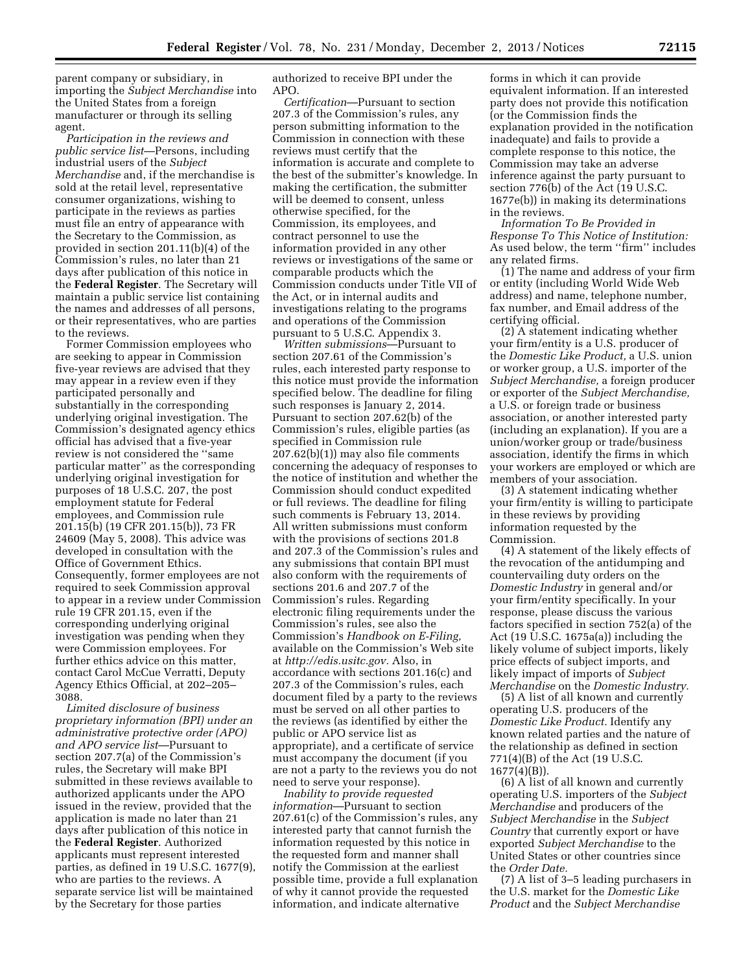parent company or subsidiary, in importing the *Subject Merchandise* into the United States from a foreign manufacturer or through its selling agent.

*Participation in the reviews and public service list*—Persons, including industrial users of the *Subject Merchandise* and, if the merchandise is sold at the retail level, representative consumer organizations, wishing to participate in the reviews as parties must file an entry of appearance with the Secretary to the Commission, as provided in section 201.11(b)(4) of the Commission's rules, no later than 21 days after publication of this notice in the **Federal Register**. The Secretary will maintain a public service list containing the names and addresses of all persons, or their representatives, who are parties to the reviews.

Former Commission employees who are seeking to appear in Commission five-year reviews are advised that they may appear in a review even if they participated personally and substantially in the corresponding underlying original investigation. The Commission's designated agency ethics official has advised that a five-year review is not considered the ''same particular matter'' as the corresponding underlying original investigation for purposes of 18 U.S.C. 207, the post employment statute for Federal employees, and Commission rule 201.15(b) (19 CFR 201.15(b)), 73 FR 24609 (May 5, 2008). This advice was developed in consultation with the Office of Government Ethics. Consequently, former employees are not required to seek Commission approval to appear in a review under Commission rule 19 CFR 201.15, even if the corresponding underlying original investigation was pending when they were Commission employees. For further ethics advice on this matter, contact Carol McCue Verratti, Deputy Agency Ethics Official, at 202–205– 3088.

*Limited disclosure of business proprietary information (BPI) under an administrative protective order (APO) and APO service list*—Pursuant to section 207.7(a) of the Commission's rules, the Secretary will make BPI submitted in these reviews available to authorized applicants under the APO issued in the review, provided that the application is made no later than 21 days after publication of this notice in the **Federal Register**. Authorized applicants must represent interested parties, as defined in 19 U.S.C. 1677(9), who are parties to the reviews. A separate service list will be maintained by the Secretary for those parties

authorized to receive BPI under the APO.

*Certification*—Pursuant to section 207.3 of the Commission's rules, any person submitting information to the Commission in connection with these reviews must certify that the information is accurate and complete to the best of the submitter's knowledge. In making the certification, the submitter will be deemed to consent, unless otherwise specified, for the Commission, its employees, and contract personnel to use the information provided in any other reviews or investigations of the same or comparable products which the Commission conducts under Title VII of the Act, or in internal audits and investigations relating to the programs and operations of the Commission pursuant to 5 U.S.C. Appendix 3.

*Written submissions*—Pursuant to section 207.61 of the Commission's rules, each interested party response to this notice must provide the information specified below. The deadline for filing such responses is January 2, 2014. Pursuant to section 207.62(b) of the Commission's rules, eligible parties (as specified in Commission rule 207.62(b)(1)) may also file comments concerning the adequacy of responses to the notice of institution and whether the Commission should conduct expedited or full reviews. The deadline for filing such comments is February 13, 2014. All written submissions must conform with the provisions of sections 201.8 and 207.3 of the Commission's rules and any submissions that contain BPI must also conform with the requirements of sections 201.6 and 207.7 of the Commission's rules. Regarding electronic filing requirements under the Commission's rules, see also the Commission's *Handbook on E-Filing,*  available on the Commission's Web site at *[http://edis.usitc.gov.](http://edis.usitc.gov)* Also, in accordance with sections 201.16(c) and 207.3 of the Commission's rules, each document filed by a party to the reviews must be served on all other parties to the reviews (as identified by either the public or APO service list as appropriate), and a certificate of service must accompany the document (if you are not a party to the reviews you do not need to serve your response).

*Inability to provide requested information*—Pursuant to section 207.61(c) of the Commission's rules, any interested party that cannot furnish the information requested by this notice in the requested form and manner shall notify the Commission at the earliest possible time, provide a full explanation of why it cannot provide the requested information, and indicate alternative

forms in which it can provide equivalent information. If an interested party does not provide this notification (or the Commission finds the explanation provided in the notification inadequate) and fails to provide a complete response to this notice, the Commission may take an adverse inference against the party pursuant to section 776(b) of the Act (19 U.S.C. 1677e(b)) in making its determinations in the reviews.

*Information To Be Provided in Response To This Notice of Institution:*  As used below, the term ''firm'' includes any related firms.

(1) The name and address of your firm or entity (including World Wide Web address) and name, telephone number, fax number, and Email address of the certifying official.

(2) A statement indicating whether your firm/entity is a U.S. producer of the *Domestic Like Product,* a U.S. union or worker group, a U.S. importer of the *Subject Merchandise,* a foreign producer or exporter of the *Subject Merchandise,*  a U.S. or foreign trade or business association, or another interested party (including an explanation). If you are a union/worker group or trade/business association, identify the firms in which your workers are employed or which are members of your association.

(3) A statement indicating whether your firm/entity is willing to participate in these reviews by providing information requested by the Commission.

(4) A statement of the likely effects of the revocation of the antidumping and countervailing duty orders on the *Domestic Industry* in general and/or your firm/entity specifically. In your response, please discuss the various factors specified in section 752(a) of the Act (19  $\bar{U}$ .S.C. 1675a(a)) including the likely volume of subject imports, likely price effects of subject imports, and likely impact of imports of *Subject Merchandise* on the *Domestic Industry.* 

(5) A list of all known and currently operating U.S. producers of the *Domestic Like Product.* Identify any known related parties and the nature of the relationship as defined in section 771(4)(B) of the Act (19 U.S.C. 1677(4)(B)).

(6) A list of all known and currently operating U.S. importers of the *Subject Merchandise* and producers of the *Subject Merchandise* in the *Subject Country* that currently export or have exported *Subject Merchandise* to the United States or other countries since the *Order Date.* 

(7) A list of 3–5 leading purchasers in the U.S. market for the *Domestic Like Product* and the *Subject Merchandise*